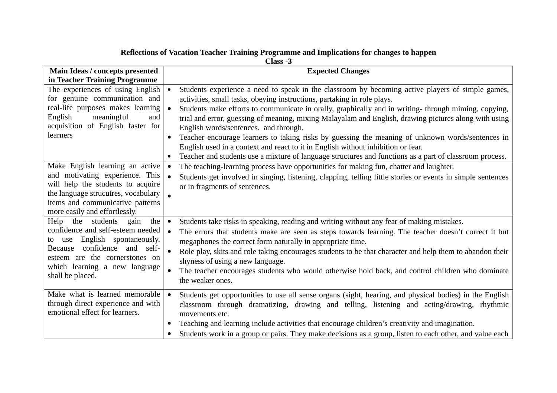| Main Ideas / concepts presented                                                                                                                                                                                                         | <b>Expected Changes</b>                                                                                                                                                                                                                                                                                                                                                                                                                                                                                                                                           |
|-----------------------------------------------------------------------------------------------------------------------------------------------------------------------------------------------------------------------------------------|-------------------------------------------------------------------------------------------------------------------------------------------------------------------------------------------------------------------------------------------------------------------------------------------------------------------------------------------------------------------------------------------------------------------------------------------------------------------------------------------------------------------------------------------------------------------|
| in Teacher Training Programme                                                                                                                                                                                                           |                                                                                                                                                                                                                                                                                                                                                                                                                                                                                                                                                                   |
| The experiences of using English<br>for genuine communication and<br>real-life purposes makes learning<br>English<br>meaningful<br>and<br>acquisition of English faster for<br>learners                                                 | Students experience a need to speak in the classroom by becoming active players of simple games,<br>$\bullet$<br>activities, small tasks, obeying instructions, partaking in role plays.<br>Students make efforts to communicate in orally, graphically and in writing- through miming, copying,<br>$\bullet$                                                                                                                                                                                                                                                     |
|                                                                                                                                                                                                                                         | trial and error, guessing of meaning, mixing Malayalam and English, drawing pictures along with using<br>English words/sentences. and through.<br>Teacher encourage learners to taking risks by guessing the meaning of unknown words/sentences in<br>$\bullet$<br>English used in a context and react to it in English without inhibition or fear.                                                                                                                                                                                                               |
|                                                                                                                                                                                                                                         | Teacher and students use a mixture of language structures and functions as a part of classroom process.<br>$\bullet$                                                                                                                                                                                                                                                                                                                                                                                                                                              |
| Make English learning an active<br>and motivating experience. This<br>will help the students to acquire<br>the language strucutres, vocabulary<br>items and communicative patterns<br>more easily and effortlessly.                     | The teaching-learning process have opportunities for making fun, chatter and laughter.<br>$\bullet$<br>Students get involved in singing, listening, clapping, telling little stories or events in simple sentences<br>$\bullet$<br>or in fragments of sentences.                                                                                                                                                                                                                                                                                                  |
| Help<br>the students gain<br>the<br>confidence and self-esteem needed<br>to use English spontaneously.<br>confidence and self-<br><b>Because</b><br>esteem are the cornerstones on<br>which learning a new language<br>shall be placed. | Students take risks in speaking, reading and writing without any fear of making mistakes.<br>$\bullet$<br>The errors that students make are seen as steps towards learning. The teacher doesn't correct it but<br>megaphones the correct form naturally in appropriate time.<br>Role play, skits and role taking encourages students to be that character and help them to abandon their<br>$\bullet$<br>shyness of using a new language.<br>The teacher encourages students who would otherwise hold back, and control children who dominate<br>the weaker ones. |
| Make what is learned memorable<br>through direct experience and with<br>emotional effect for learners.                                                                                                                                  | Students get opportunities to use all sense organs (sight, hearing, and physical bodies) in the English<br>$\bullet$<br>classroom through dramatizing, drawing and telling, listening and acting/drawing, rhythmic<br>movements etc.<br>Teaching and learning include activities that encourage children's creativity and imagination.<br>Students work in a group or pairs. They make decisions as a group, listen to each other, and value each                                                                                                                 |

## **Reflections of Vacation Teacher Training Programme and Implications for changes to happen**

**Class -3**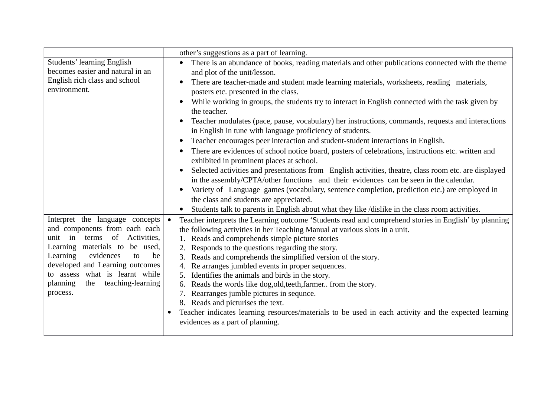|                                                                                                                                                                                                                                                                                                                            | other's suggestions as a part of learning.                                                                                                                                                                                                                                                                                                                                                                                                                                                                                                                                                                                                                                                                                                                                                                                                                                                                                                                                                                                                                                                                                                        |
|----------------------------------------------------------------------------------------------------------------------------------------------------------------------------------------------------------------------------------------------------------------------------------------------------------------------------|---------------------------------------------------------------------------------------------------------------------------------------------------------------------------------------------------------------------------------------------------------------------------------------------------------------------------------------------------------------------------------------------------------------------------------------------------------------------------------------------------------------------------------------------------------------------------------------------------------------------------------------------------------------------------------------------------------------------------------------------------------------------------------------------------------------------------------------------------------------------------------------------------------------------------------------------------------------------------------------------------------------------------------------------------------------------------------------------------------------------------------------------------|
| <b>Students' learning English</b><br>becomes easier and natural in an<br>English rich class and school<br>environment.                                                                                                                                                                                                     | There is an abundance of books, reading materials and other publications connected with the theme<br>and plot of the unit/lesson.<br>There are teacher-made and student made learning materials, worksheets, reading materials,<br>posters etc. presented in the class.<br>While working in groups, the students try to interact in English connected with the task given by<br>the teacher.<br>Teacher modulates (pace, pause, vocabulary) her instructions, commands, requests and interactions<br>in English in tune with language proficiency of students.<br>Teacher encourages peer interaction and student-student interactions in English.<br>There are evidences of school notice board, posters of celebrations, instructions etc. written and<br>exhibited in prominent places at school.<br>Selected activities and presentations from English activities, theatre, class room etc. are displayed<br>in the assembly/CPTA/other functions and their evidences can be seen in the calendar.<br>Variety of Language games (vocabulary, sentence completion, prediction etc.) are employed in<br>the class and students are appreciated. |
| Interpret the language concepts<br>and components from each each<br>$\overline{\text{in}}$<br>terms of Activities,<br>unit<br>Learning materials to be used,<br>Learning<br>evidences<br>be<br>to<br>developed and Learning outcomes<br>to assess what is learnt while<br>teaching-learning<br>planning<br>the<br>process. | Students talk to parents in English about what they like /dislike in the class room activities.<br>Teacher interprets the Learning outcome 'Students read and comprehend stories in English' by planning<br>$\bullet$<br>the following activities in her Teaching Manual at various slots in a unit.<br>Reads and comprehends simple picture stories<br>Responds to the questions regarding the story.<br>Reads and comprehends the simplified version of the story.<br>3.<br>Re arranges jumbled events in proper sequences.<br>4.<br>Identifies the animals and birds in the story.<br>Reads the words like dog, old, teeth, farmer from the story.<br>6.<br>Rearranges jumble pictures in sequnce.<br>8. Reads and picturises the text.<br>Teacher indicates learning resources/materials to be used in each activity and the expected learning<br>evidences as a part of planning.                                                                                                                                                                                                                                                            |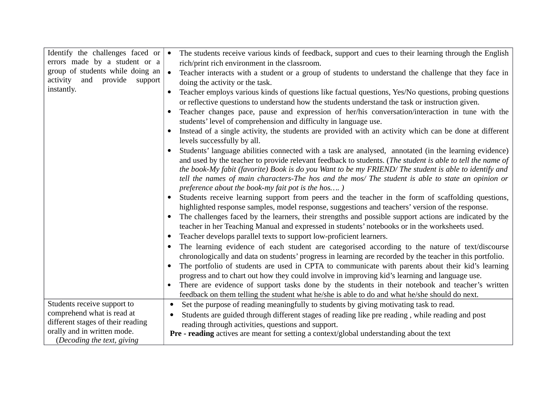| Identify the challenges faced or   | $\bullet$ | The students receive various kinds of feedback, support and cues to their learning through the English     |
|------------------------------------|-----------|------------------------------------------------------------------------------------------------------------|
| errors made by a student or a      |           | rich/print rich environment in the classroom.                                                              |
| group of students while doing an   | $\bullet$ | Teacher interacts with a student or a group of students to understand the challenge that they face in      |
| activity<br>and provide<br>support |           | doing the activity or the task.                                                                            |
| instantly.                         |           | Teacher employs various kinds of questions like factual questions, Yes/No questions, probing questions     |
|                                    |           | or reflective questions to understand how the students understand the task or instruction given.           |
|                                    |           | Teacher changes pace, pause and expression of her/his conversation/interaction in tune with the            |
|                                    |           | students' level of comprehension and difficulty in language use.                                           |
|                                    |           | Instead of a single activity, the students are provided with an activity which can be done at different    |
|                                    |           | levels successfully by all.                                                                                |
|                                    |           | Students' language abilities connected with a task are analysed, annotated (in the learning evidence)      |
|                                    |           | and used by the teacher to provide relevant feedback to students. (The student is able to tell the name of |
|                                    |           | the book-My fabit (favorite) Book is do you Want to be my FRIEND/ The student is able to identify and      |
|                                    |           | tell the names of main characters-The hos and the mos/ The student is able to state an opinion or          |
|                                    |           | preference about the book-my fait pot is the hos)                                                          |
|                                    |           | Students receive learning support from peers and the teacher in the form of scaffolding questions,         |
|                                    |           | highlighted response samples, model response, suggestions and teachers' version of the response.           |
|                                    |           | The challenges faced by the learners, their strengths and possible support actions are indicated by the    |
|                                    |           | teacher in her Teaching Manual and expressed in students' notebooks or in the worksheets used.             |
|                                    | $\bullet$ | Teacher develops parallel texts to support low-proficient learners.                                        |
|                                    |           | The learning evidence of each student are categorised according to the nature of text/discourse            |
|                                    |           | chronologically and data on students' progress in learning are recorded by the teacher in this portfolio.  |
|                                    |           | The portfolio of students are used in CPTA to communicate with parents about their kid's learning          |
|                                    |           | progress and to chart out how they could involve in improving kid's learning and language use.             |
|                                    |           | There are evidence of support tasks done by the students in their notebook and teacher's written           |
|                                    |           | feedback on them telling the student what he/she is able to do and what he/she should do next.             |
| Students receive support to        |           | Set the purpose of reading meaningfully to students by giving motivating task to read.                     |
| comprehend what is read at         |           | Students are guided through different stages of reading like pre reading, while reading and post           |
| different stages of their reading  |           | reading through activities, questions and support.                                                         |
| orally and in written mode.        |           | Pre - reading actives are meant for setting a context/global understanding about the text                  |
| (Decoding the text, giving         |           |                                                                                                            |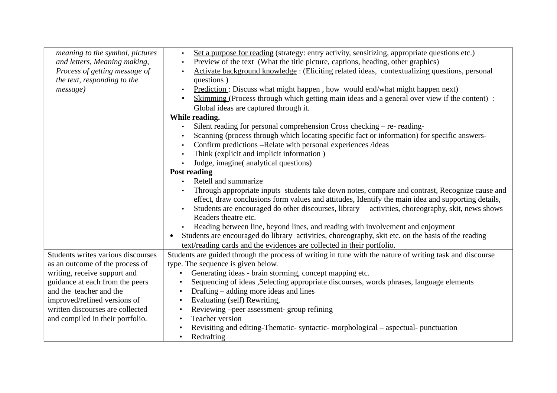| meaning to the symbol, pictures    | Set a purpose for reading (strategy: entry activity, sensitizing, appropriate questions etc.)<br>$\bullet$      |
|------------------------------------|-----------------------------------------------------------------------------------------------------------------|
| and letters, Meaning making,       | Preview of the text (What the title picture, captions, heading, other graphics)<br>$\bullet$                    |
| Process of getting message of      | Activate background knowledge: (Eliciting related ideas, contextualizing questions, personal                    |
| the text, responding to the        | questions)                                                                                                      |
| message)                           | Prediction: Discuss what might happen, how would end/what might happen next)                                    |
|                                    | Skimming (Process through which getting main ideas and a general over view if the content) :                    |
|                                    | Global ideas are captured through it.                                                                           |
|                                    | While reading.                                                                                                  |
|                                    | Silent reading for personal comprehension Cross checking - re- reading-                                         |
|                                    | Scanning (process through which locating specific fact or information) for specific answers-                    |
|                                    | Confirm predictions -- Relate with personal experiences /ideas                                                  |
|                                    | Think (explicit and implicit information)                                                                       |
|                                    | Judge, imagine( analytical questions)                                                                           |
|                                    | <b>Post reading</b>                                                                                             |
|                                    | Retell and summarize                                                                                            |
|                                    | Through appropriate inputs students take down notes, compare and contrast, Recognize cause and                  |
|                                    | effect, draw conclusions form values and attitudes, Identify the main idea and supporting details,              |
|                                    | Students are encouraged do other discourses, library activities, choreography, skit, news shows                 |
|                                    | Readers theatre etc.                                                                                            |
|                                    | Reading between line, beyond lines, and reading with involvement and enjoyment                                  |
|                                    | Students are encouraged do library activities, choreography, skit etc. on the basis of the reading<br>$\bullet$ |
|                                    | text/reading cards and the evidences are collected in their portfolio.                                          |
| Students writes various discourses | Students are guided through the process of writing in tune with the nature of writing task and discourse        |
| as an outcome of the process of    | type. The sequence is given below.                                                                              |
| writing, receive support and       | Generating ideas - brain storming, concept mapping etc.                                                         |
| guidance at each from the peers    | Sequencing of ideas , Selecting appropriate discourses, words phrases, language elements                        |
| and the teacher and the            | Drafting – adding more ideas and lines<br>$\bullet$                                                             |
| improved/refined versions of       | Evaluating (self) Rewriting,<br>$\bullet$                                                                       |
| written discourses are collected   | Reviewing -peer assessment- group refining                                                                      |
| and compiled in their portfolio.   | <b>Teacher version</b>                                                                                          |
|                                    | Revisiting and editing-Thematic- syntactic- morphological – aspectual- punctuation                              |
|                                    | Redrafting                                                                                                      |
|                                    |                                                                                                                 |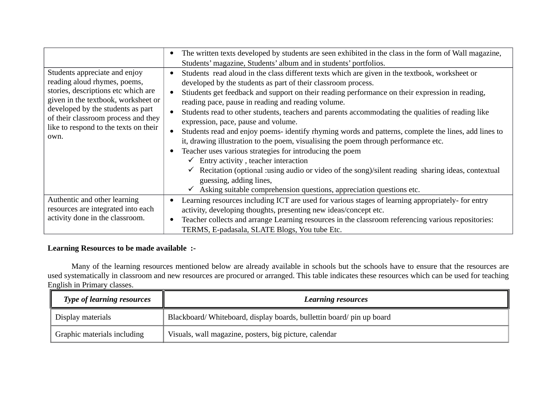|                                                                                                                                                                                                                                                                          | The written texts developed by students are seen exhibited in the class in the form of Wall magazine,<br>$\bullet$<br>Students' magazine, Students' album and in students' portfolios.                                                                                                                                                                                                                                                                                                                                                                                                                                                                                                                                                                                                                                                                                                                                                                                                                                                                      |
|--------------------------------------------------------------------------------------------------------------------------------------------------------------------------------------------------------------------------------------------------------------------------|-------------------------------------------------------------------------------------------------------------------------------------------------------------------------------------------------------------------------------------------------------------------------------------------------------------------------------------------------------------------------------------------------------------------------------------------------------------------------------------------------------------------------------------------------------------------------------------------------------------------------------------------------------------------------------------------------------------------------------------------------------------------------------------------------------------------------------------------------------------------------------------------------------------------------------------------------------------------------------------------------------------------------------------------------------------|
| Students appreciate and enjoy<br>reading aloud rhymes, poems,<br>stories, descriptions etc which are<br>given in the textbook, worksheet or<br>developed by the students as part<br>of their classroom process and they<br>like to respond to the texts on their<br>own. | Students read aloud in the class different texts which are given in the textbook, worksheet or<br>$\bullet$<br>developed by the students as part of their classroom process.<br>Stiudents get feedback and support on their reading performance on their expression in reading,<br>$\bullet$<br>reading pace, pause in reading and reading volume.<br>Students read to other students, teachers and parents accommodating the qualities of reading like<br>$\bullet$<br>expression, pace, pause and volume.<br>Students read and enjoy poems- identify rhyming words and patterns, complete the lines, add lines to<br>$\bullet$<br>it, drawing illustration to the poem, visualising the poem through performance etc.<br>Teacher uses various strategies for introducing the poem<br>$\checkmark$ Entry activity, teacher interaction<br>$\checkmark$ Recitation (optional :using audio or video of the song)/silent reading sharing ideas, contextual<br>guessing, adding lines,<br>Asking suitable comprehension questions, appreciation questions etc. |
| Authentic and other learning<br>resources are integrated into each<br>activity done in the classroom.                                                                                                                                                                    | Learning resources including ICT are used for various stages of learning appropriately- for entry<br>$\bullet$<br>activity, developing thoughts, presenting new ideas/concept etc.<br>Teacher collects and arrange Learning resources in the classroom referencing various repositories:<br>$\bullet$<br>TERMS, E-padasala, SLATE Blogs, You tube Etc.                                                                                                                                                                                                                                                                                                                                                                                                                                                                                                                                                                                                                                                                                                      |

## **Learning Resources to be made available :-**

Many of the learning resources mentioned below are already available in schools but the schools have to ensure that the resources are used systematically in classroom and new resources are procured or arranged. This table indicates these resources which can be used for teaching English in Primary classes.

| <b>Type of learning resources</b> | <b>Learning resources</b>                                           |
|-----------------------------------|---------------------------------------------------------------------|
| Display materials                 | Blackboard/Whiteboard, display boards, bullettin board/pin up board |
| Graphic materials including       | Visuals, wall magazine, posters, big picture, calendar              |